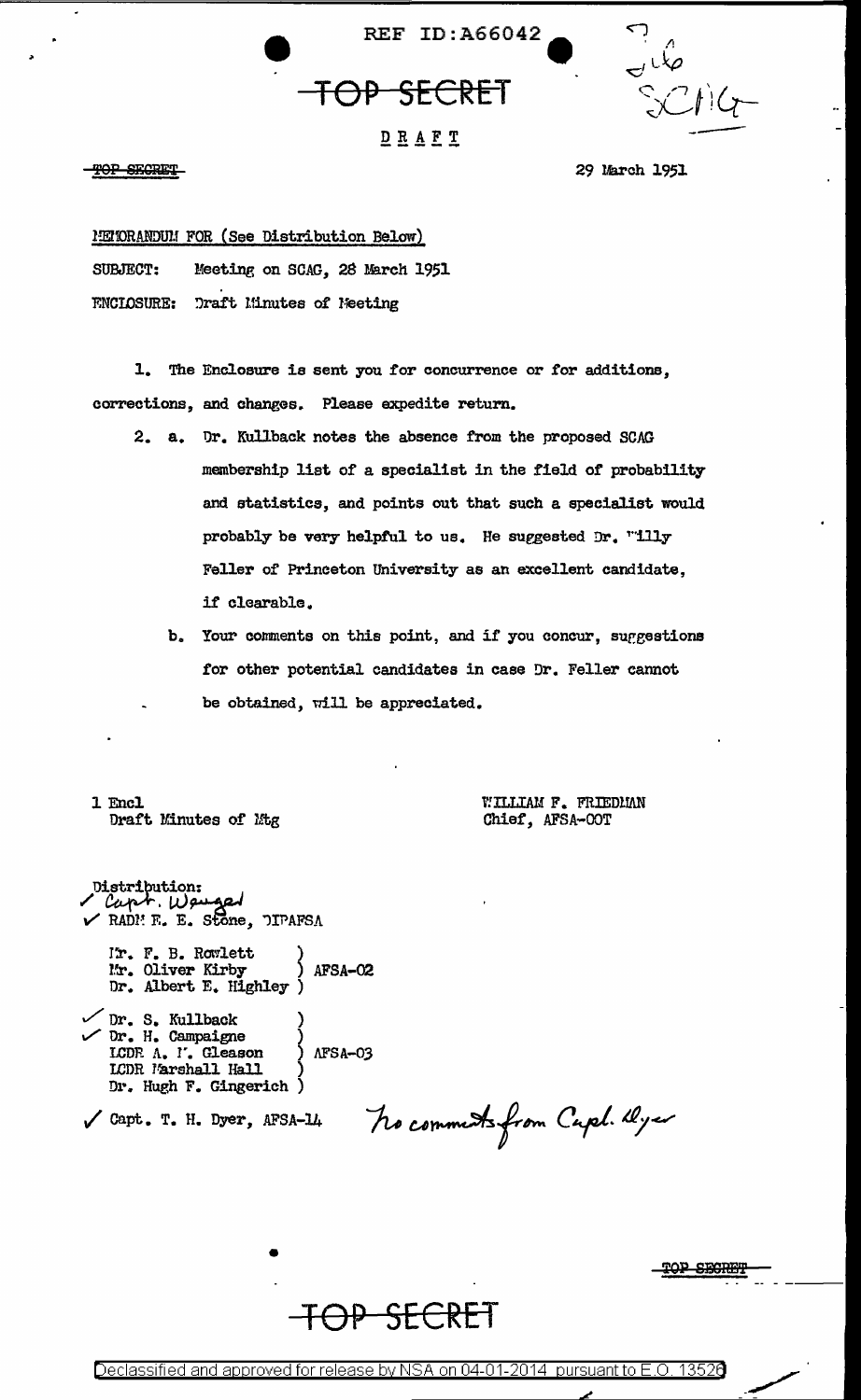



### DRAFT

TOP SECRET

29 March 1951

METORANDUM FOR (See Distribution Below) Meeting on SCAG. 28 March 1951 SUBJECT:

**ENCLOSURE: Draft Minutes of Neeting** 

1. The Enclosure is sent you for concurrence or for additions, corrections, and changes. Please expedite return.

- 2. a. Dr. Kullback notes the absence from the proposed SCAG membership list of a specialist in the field of probability and statistics, and points out that such a specialist would probably be very helpful to us. He suggested Dr. "illy Feller of Princeton University as an excellent candidate. if clearable.
	- b. Your comments on this point, and if you concur, suggestions for other potential candidates in case Dr. Feller cannot be obtained, will be appreciated.

1 Encl Draft Minutes of Mtg WILLIAM F. FRIEDMAN Chief, AFSA-OOT

Distribution:<br>'Capt.Weuged  $\checkmark$  RADI E. E. Stone. DIPAFSA I'm. F. B. Rowlett Mr. Oliver Kirby<br>Dr. Albert E. Highley AFSA-02 Dr. S. Kullback<br>  $\sqrt{Dr}$ . H. Campaigne LCDR A. I'. Gleason  $\triangle$ FSA-03 LCDR Marshall Hall Dr. Hugh F. Gingerich )  $\sqrt{$  Capt. T. H. Dyer, AFSA-14

No comments from Capel. Dyer

**SECRET** 



Declassified and approved for release by NSA on 04-01-2014 pursuant to E.O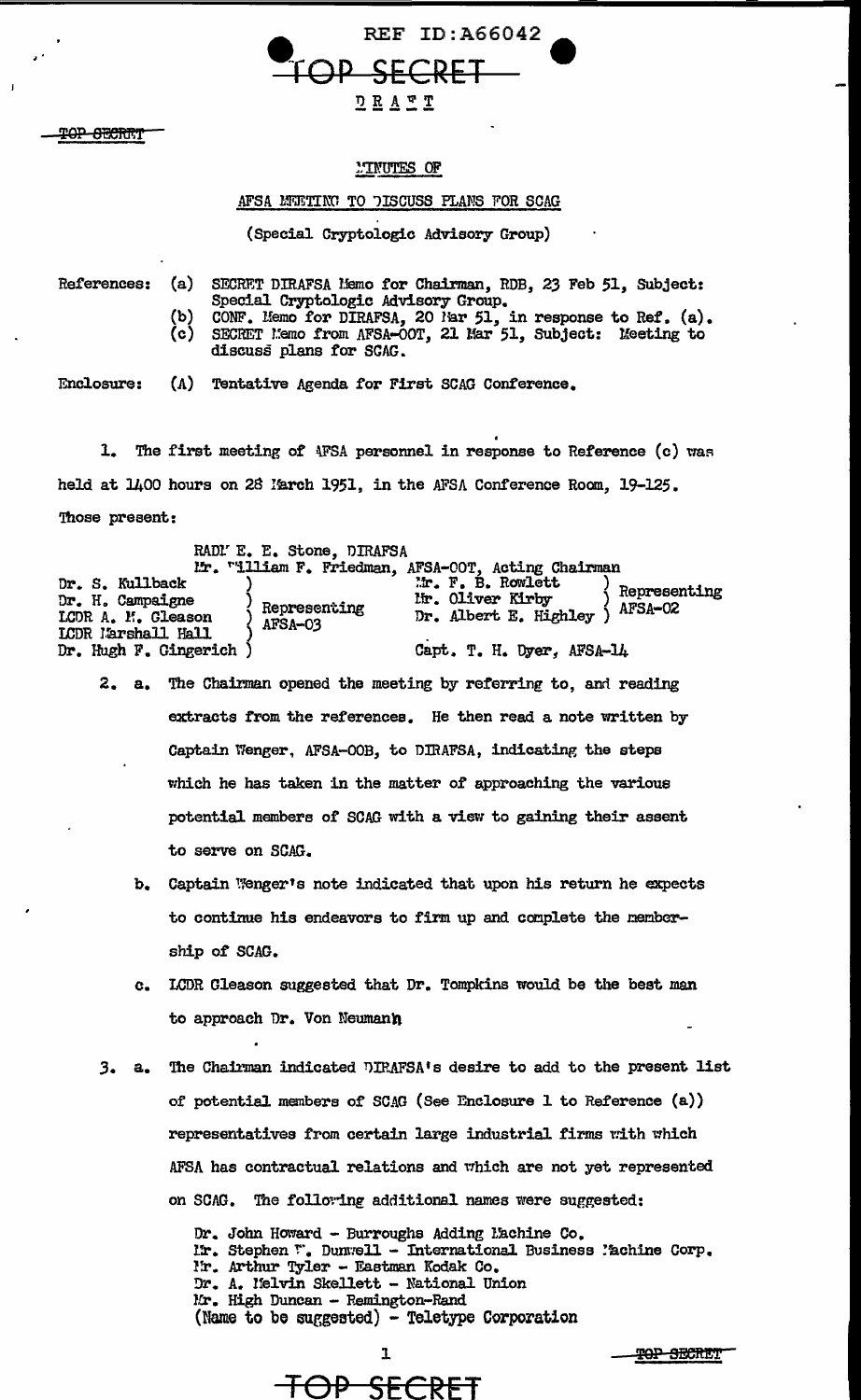**REF ID:A66042** <del>DP SECRET</del>  $D R A T T$ 

P<del>OP SECRIT</del>

### **MINUTES OF**

### AFSA MUETING TO DISCUSS PLANS FOR SCAG

(Special Cryptologic Advisory Group)

References:  $(a)$ SECRET DIRAFSA Memo for Chairman, RDB, 23 Feb 51, Subject: Special Cryptologic Advisory Group. CONF. Memo for DIRAFSA, 20 Mar 51, in response to Ref. (a). SECRET Memo from AFSA-OOT, 21 Mar 51, Subject: Meeting to (b)  $(c)$ discuss plans for SCAC. Enclosure: (A) Tentative Agenda for First SCAG Conference.

1. The first meeting of AFSA personnel in response to Reference (c) was held at 1400 hours on 28 March 1951, in the AFSA Conference Room, 19-125. Those present:

|                                                           | RADI' E. E. Stone. DIRAFSA |                                                                 |                         |
|-----------------------------------------------------------|----------------------------|-----------------------------------------------------------------|-------------------------|
|                                                           |                            | Mr. "illiam F. Friedman, AFSA-COT, Acting Chairman              |                         |
| Dr. S. Kullback<br>Dr. H. Campaigne<br>LCDR A. M. Gleason | Representing<br>AFSA-03    | Mr. F. B. Rowlett<br>lir. Oliver Kirby<br>Dr. Albert E. Highley | Representing<br>AFSA-02 |
| LCDR Marshall Hall<br>Dr. Hugh F. Gingerich               |                            | Capt. T. H. Dyer, AFSA-14                                       |                         |

- 2. a. The Chairman opened the meeting by referring to, and reading extracts from the references. He then read a note written by Captain Wenger, AFSA-OOB, to DIRAFSA, indicating the steps which he has taken in the matter of approaching the various potential members of SCAG with a view to gaining their assent to serve on SCAG.
	- Captain Wenger's note indicated that upon his return he expects  $\mathbf{b}$ . to continue his endeavors to firm up and complete the membership of SCAG.
	- LCDR Cleason suggested that Dr. Tompkins would be the best man C. to approach Dr. Von Neumann
- The Chairman indicated DIRAFSA's desire to add to the present list  $3. a.$ of potential members of SCAG (See Enclosure 1 to Reference (a)) representatives from certain large industrial firms with which AFSA has contractual relations and which are not yet represented on SCAG. The following additional names were suggested:

I

<del>OP SECRI</del>

Dr. John Howard - Burroughs Adding Machine Co. Ir. Stephen ". Dunwell - International Business Machine Corp. I'r. Arthur Tyler - Eastman Kodak Co. Dr. A. Melvin Skellett - National Union Mr. High Duncan - Remington-Rand (Name to be suggested) - Teletype Corporation

<del>TOP SECRET</del>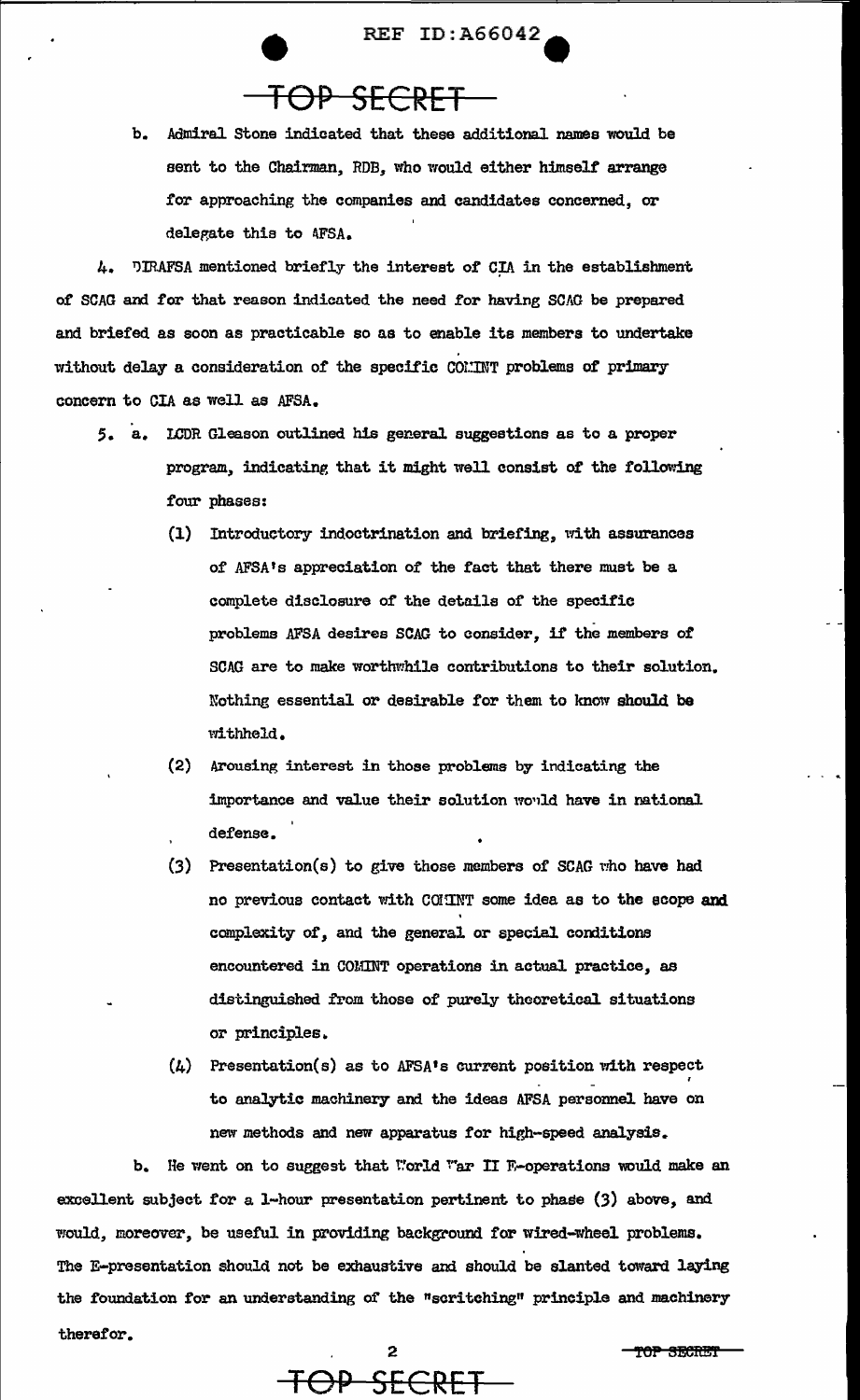**REF ID: A66042** 

## TOP SECRET

 $<sub>b</sub>$ </sub> Admiral Stone indicated that these additional names would be sent to the Chairman, RDB, who would either himself arrange for approaching the companies and candidates concerned. or delegate this to AFSA.

4. DIRAFSA mentioned briefly the interest of CIA in the establishment of SCAG and for that reason indicated the need for having SCAG be prepared and briefed as soon as practicable so as to enable its members to undertake without delay a consideration of the specific COMMT problems of primary concern to CIA as well as AFSA.

- 5. a. LCDR Gleason outlined his general suggestions as to a proper program, indicating that it might well consist of the following four phases:
	- (1) Introductory indoctrination and briefing, with assurances of AFSA's appreciation of the fact that there must be a complete disclosure of the details of the specific problems AFSA desires SCAG to consider, if the members of SCAG are to make worthwhile contributions to their solution. Nothing essential or desirable for them to know should be withheld.
	- (2) Arousing interest in those problems by indicating the importance and value their solution would have in national defense.
	- (3) Presentation(s) to give those members of SCAG who have had no previous contact with COMINT some idea as to the scope and complexity of, and the general or special conditions encountered in COMINT operations in actual practice, as distinguished from those of purely theoretical situations or principles.
	- $(4)$  Presentation(s) as to AFSA's current position with respect to analytic machinery and the ideas AFSA personnel have on new methods and new apparatus for high-speed analysis.

b. He went on to suggest that World War II E-operations would make an excellent subject for a 1-hour presentation pertinent to phase (3) above, and would, moreover, be useful in providing background for wired-wheel problems. The E-presentation should not be exhaustive and should be slanted toward laying the foundation for an understanding of the "scritching" principle and machinery therefor.



TOP SECRET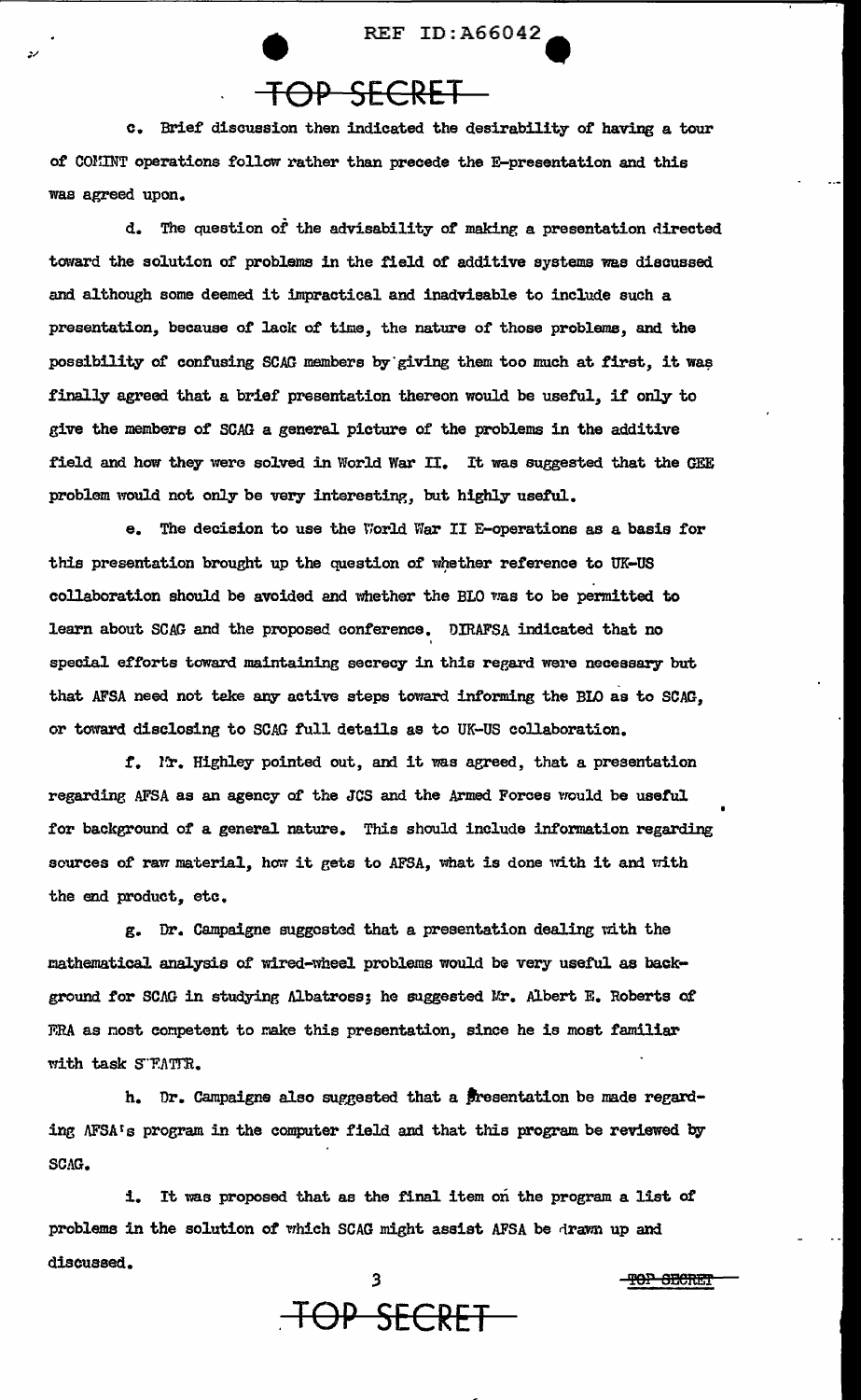# **• REF ID:A66042**

c. Brief discussion then indicated the desirability or having a tour of COMINT operations follow rather than precede the E-presentation and this was agreed upon.

d. The question of the advisability or making a presentation directed toward the solution of problems in the field of additive systems was discussed and although some deemed it impractical and inadvisable to include such a presentation, because of lack of time, the nature of those problems, and the possibility of confusing SCAG members by giving them too much at first, it was finally agreed that a brief presentation thereon would be useful, if only to give the members of SCAG a general picture of the problems in the additive field and how they were solved in World War II. It was suggested that the GEE problem would not only be very interesting, but highly useful.

e. The decision to use the World Viar II E-operations as a basis for this presentation brought up the question of whether reference to UK-US collaboration should be avoided and whether the BLO was to be permitted to learn about SCAG and the proposed conference. DIRAFSA indicated that no ' special efforts toward maintaining secrecy in this regard were necessary but that AFSA need not teke any active steps toward informing the BLO as to SCAG. or toward disclosing to SCAG full details as to UK-US collaboration.

f. Ir. Highley pointed out, and it was agreed, that a presentation regarding AFSA as an agency o£ the JCS and the Armed Forces would be useful for background of a general nature. This should include information regarding sources of raw material, how it gets to AFSA, what is done with it and with the end product, etc.

g. Dr. Campaigne suggested that a presentation dealing with the mathematical analysis of wired-wheel problems would be very useful as background for SCAG in studying Albatross; he suggested Mr. Albert E. Roberts of FRA as nost competent to make this presentation, since he is most familiar with task S"FATTR.

h. Dr. Campaigne also suggested that a presentation be made regarding AFSA's program in the computer field and that this program be reviewed by SCAG.

i. It was proposed that as the final item on the program a list. of problems in the solution of which SCAG might assist AFSA be drawn up and discussed.



TOP SECRET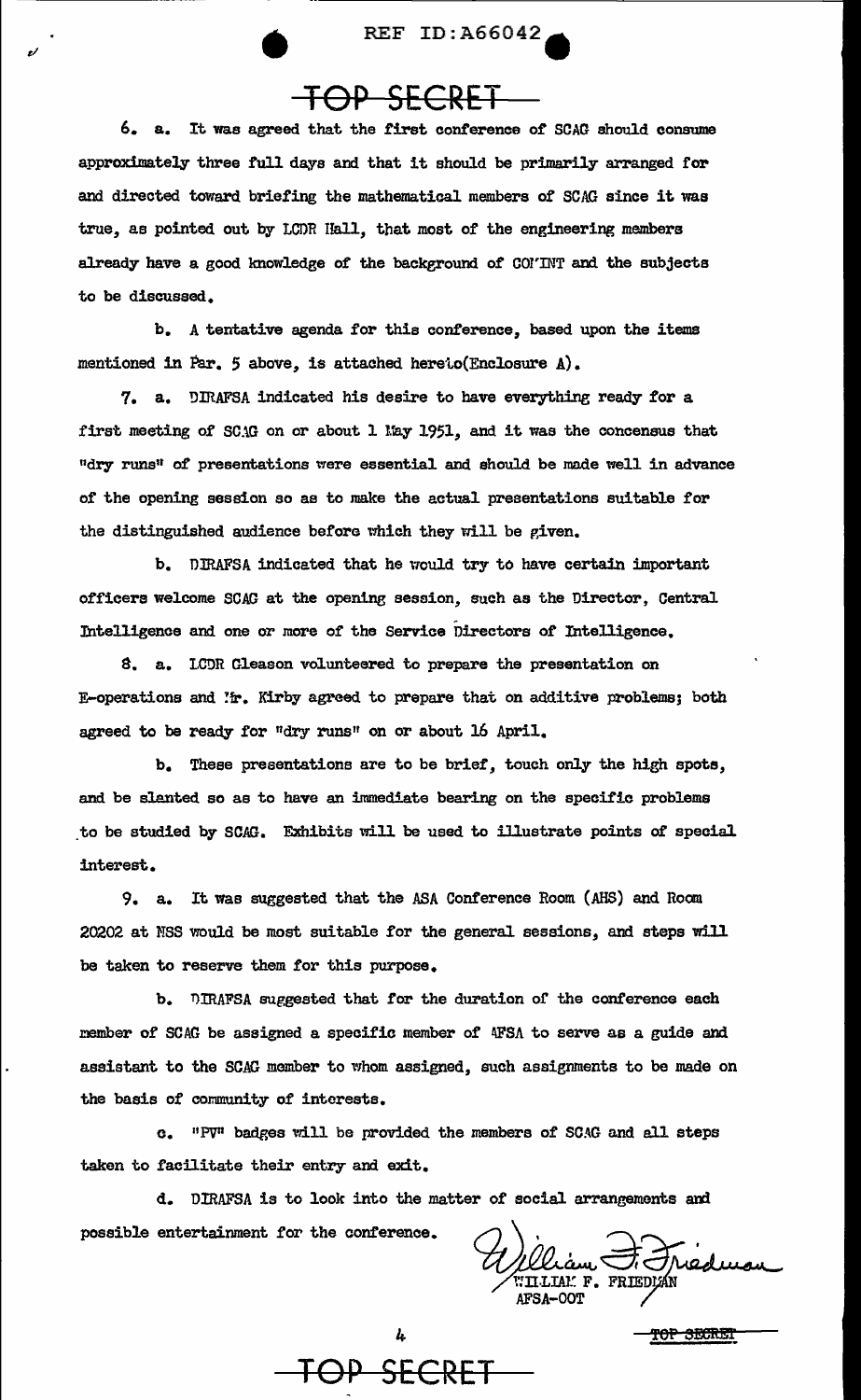# $e^{i}$  REF ID:A66042 $\overline{f}$ **TOP SECRET**

6. a. It was agreed that the first conference of SCAG should consume approximately three full days and that it should be primarily arranged for and directed toward briefing the mathematical members of SCAG since it was true, as pointed out by LCDR Hall, that most of the engineering members already have a good knowledge of the background of COI'INT and the subjects to be discussed..

b. A tentative agenda for this conference, based upon the items mentioned in Par. 5 above, is attached hereto(Enclosure A).

7. a. DIRAFSA indicated his desire to have everything ready for a first meeting of SCAG on or about 1 May 1951, and it was the concensus that <sup>11</sup>dry runs" o£ presentations were essential and should be made well in advance of the opening session so ae to make the actual presentations suitable £or the distinguished audience before which they will be given.

b. DJRAFSA indicated that he would try to have certain important officers welcome SCAG at the openine session, such as the Director, Central T.ntelligence and one or more or the Service Directors *ot* Intelligence.

S. a. l.CDR Gleason volunteered to prepare the presentation on E-operations and  $'r$ . Kirby agreed to prepare that on additive problems; both agreed to be ready for "dry runs" on or about 16 April.

b. These presentations are to be brier, touch only the high spots, and be slanted so as to have an immediate bearing on the specific problems to be studied by SCAG. Exhibits will be used to illustrate points of special interest.

9. a. It was suggested that the ASA Conference Room (AHS) and Room 20202 at MSS would be most suitable for the general sessions, and steps will be taken to reserve them for this purpose.

b. DIRAFSA suggested that for the duration of the conference each member of SCAG be assigned a specific member of AFSA to serve as a guide and assistant to the SCAG member to whom assigned, such assignments to be made on the basis of community of interests.

e. "PV11 badges will be provided the members or SCAG and all steps taken to facilitate their entry and exit.

d. DIRAFSA is to look into the matter of social arrangements and possible entertainment for the conference.

Wliam T. Treduca AFSA-OOT

TOP SECRET

**OP SECRET**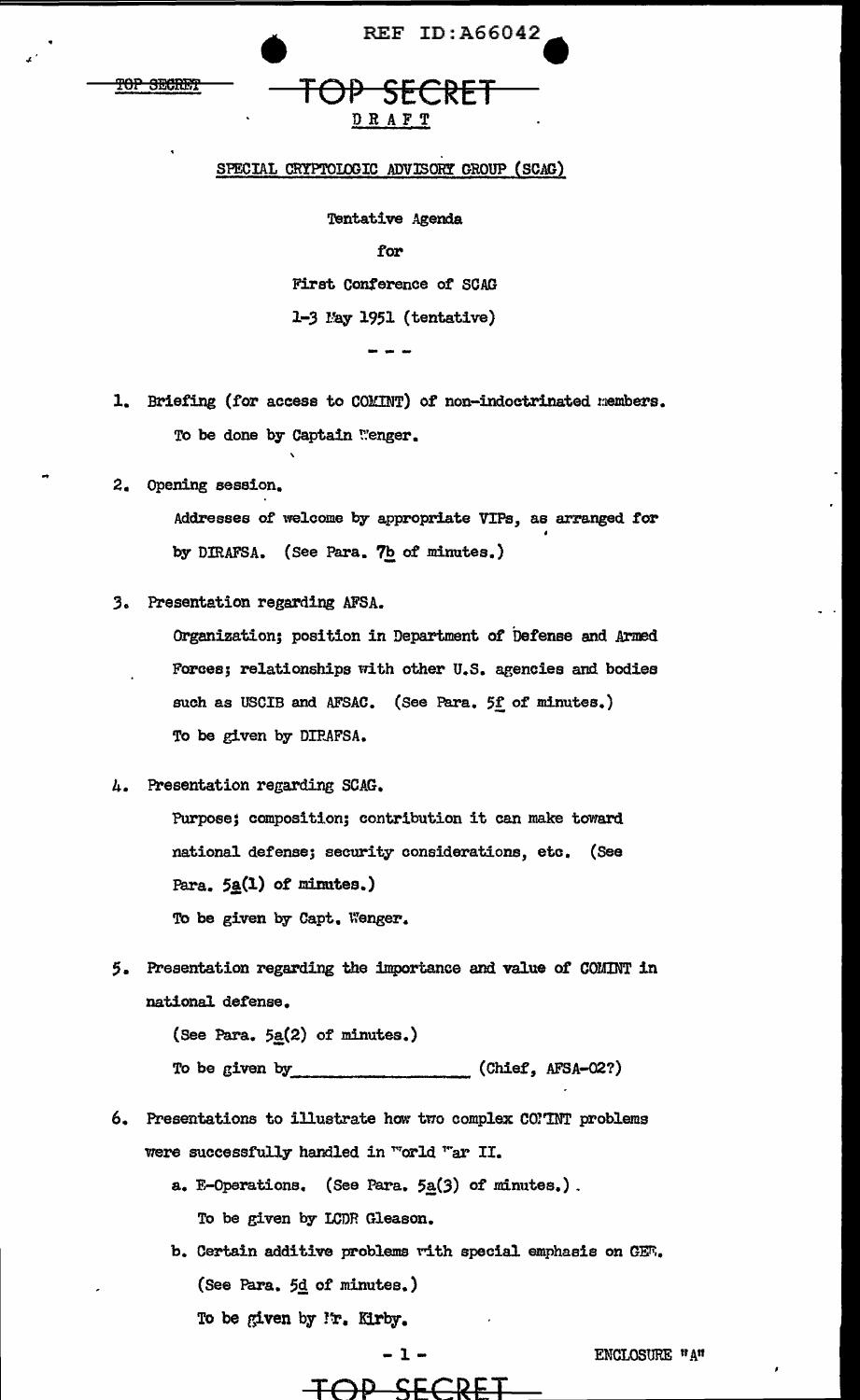|     | mon commun     |
|-----|----------------|
| IUL | <b>OGOILET</b> |
|     |                |

DRAFT

**REF ID:A66042** 

### SPECIAL CRYPTOLOGIC ADVISORY GROUP (SCAG)

Tentative Agenda

for

First Conference of SCAG  $1-3$  May 1951 (tentative)

Briefing (for access to COMINT) of non-indoctrinated members.  $\mathbf{1}$ To be done by Captain Wenger.

2. Opening session.

Addresses of welcome by appropriate VIPs, as arranged for by DIRAFSA. (See Para. 7b of minutes.)

3. Presentation regarding AFSA.

Organization; position in Department of Defense and Armed Forces; relationships with other U.S. agencies and bodies such as USCIB and AFSAC. (See Para. 5f of minutes.) To be given by DIRAFSA.

### 4. Presentation regarding SCAG.

Purpose; composition; contribution it can make toward national defense; security considerations, etc. (See Para.  $5\underline{a}(1)$  of minutes.) To be given by Capt. Wenger.

5. Presentation regarding the importance and value of COMINT in national defense.

> (See Para.  $5a(2)$  of minutes.) To be given by (Chief, AFSA-02?)

- 6. Presentations to illustrate how two complex COMINT problems were successfully handled in "orld "ar II.
	- a. E-Operations. (See Para.  $5a(3)$  of minutes.). To be given by LCDR Gleason.
	- b. Certain additive problems with special emphasis on CET. (See Para. 5d of minutes.) To be given by I'r. Kirby.

 $-1 -$ 

<del>SEC</del>

ENCLOSURE "A"